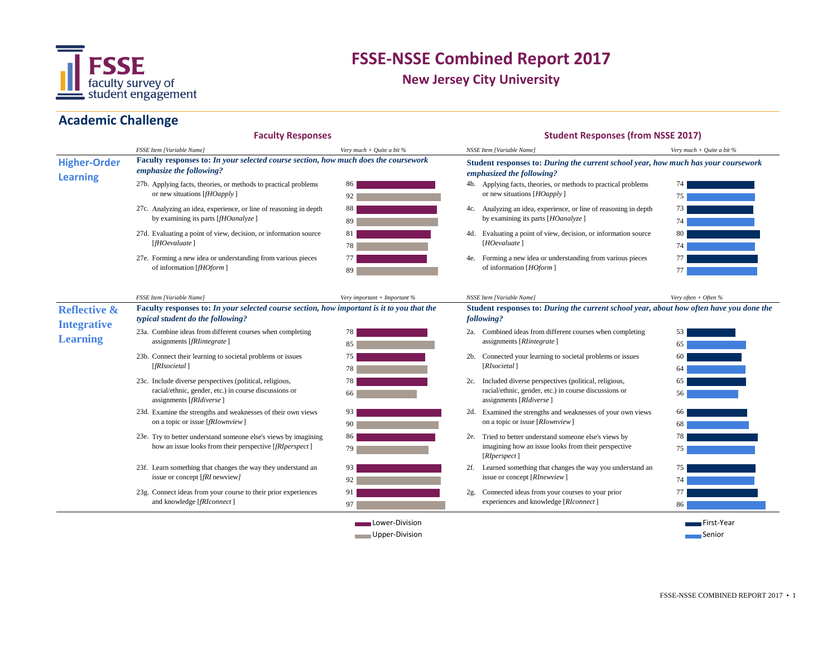

**New Jersey City University**

### **Academic Challenge**

#### **Faculty Responses**

#### **Student Responses (from NSSE 2017)**

|                                        | <b>FSSE Item [Variable Name]</b>                                                                                                              | Very much + Ouite a bit $%$      | NSSE Item [Variable Name]                                                                                                                    | Very much + Quite a bit $%$ |  |
|----------------------------------------|-----------------------------------------------------------------------------------------------------------------------------------------------|----------------------------------|----------------------------------------------------------------------------------------------------------------------------------------------|-----------------------------|--|
| <b>Higher-Order</b><br><b>Learning</b> | Faculty responses to: In your selected course section, how much does the coursework<br>emphasize the following?                               |                                  | Student responses to: During the current school year, how much has your coursework<br>emphasized the following?                              |                             |  |
|                                        | 27b. Applying facts, theories, or methods to practical problems<br>or new situations $[fHOapply]$                                             | 86<br>92                         | 4b. Applying facts, theories, or methods to practical problems<br>or new situations [HOapply]                                                | 74<br>75                    |  |
|                                        | 27c. Analyzing an idea, experience, or line of reasoning in depth<br>by examining its parts [fHOanalyze]                                      | 88<br>89                         | 4c. Analyzing an idea, experience, or line of reasoning in depth<br>by examining its parts [HOanalyze]                                       | 73<br>74                    |  |
|                                        | 27d. Evaluating a point of view, decision, or information source<br>[fH0evalue]                                                               | 81<br>78                         | 4d. Evaluating a point of view, decision, or information source<br>[HOevaluate]                                                              | 80                          |  |
|                                        | 27e. Forming a new idea or understanding from various pieces<br>of information [fHOform]                                                      | 77<br>89                         | 4e. Forming a new idea or understanding from various pieces<br>of information [HOform]                                                       | 77<br>77                    |  |
|                                        | <b>FSSE Item [Variable Name]</b>                                                                                                              | Very important + Important %     | NSSE Item [Variable Name]                                                                                                                    | Very often + Often %        |  |
| <b>Reflective &amp;</b>                | Faculty responses to: In your selected course section, how important is it to you that the<br>typical student do the following?               |                                  | Student responses to: During the current school year, about how often have you done the<br>following?                                        |                             |  |
| <b>Integrative</b><br><b>Learning</b>  | 23a. Combine ideas from different courses when completing<br>assignments [fRIintegrate]                                                       | 78<br>85                         | 2a. Combined ideas from different courses when completing<br>assignments [RIintegrate]                                                       | 53<br>65                    |  |
|                                        | 23b. Connect their learning to societal problems or issues<br>[fRIsoci et al]                                                                 | 75<br>78                         | 2b. Connected your learning to societal problems or issues<br>[RIsocietal]                                                                   | 60<br>64                    |  |
|                                        | 23c. Include diverse perspectives (political, religious,<br>racial/ethnic, gender, etc.) in course discussions or<br>assignments [fRIdiverse] | 78<br>66                         | 2c. Included diverse perspectives (political, religious,<br>racial/ethnic, gender, etc.) in course discussions or<br>assignments [RIdiverse] | 56                          |  |
|                                        | 23d. Examine the strengths and weaknesses of their own views<br>on a topic or issue [fRIownview]                                              | 93<br>90                         | 2d. Examined the strengths and weaknesses of your own views<br>on a topic or issue [RIownview]                                               | 66<br>68                    |  |
|                                        | 23e. Try to better understand someone else's views by imagining<br>how an issue looks from their perspective [fRIperspect]                    | 86<br>79                         | 2e. Tried to better understand someone else's views by<br>imagining how an issue looks from their perspective<br>[RIperspect]                | 78<br>75                    |  |
|                                        | 23f. Learn something that changes the way they understand an<br>issue or concept [fRI newview]                                                | 93<br>92                         | 2f. Learned something that changes the way you understand an<br>issue or concept [RInewview]                                                 | 75<br>74                    |  |
|                                        | 23g. Connect ideas from your course to their prior experiences<br>and knowledge [fRIconnect]                                                  | 91<br>97                         | $2g$ .<br>Connected ideas from your courses to your prior<br>experiences and knowledge [RIconnect]                                           | 86                          |  |
|                                        |                                                                                                                                               | Lower-Division<br>Upper-Division |                                                                                                                                              | First-Year<br>Senior        |  |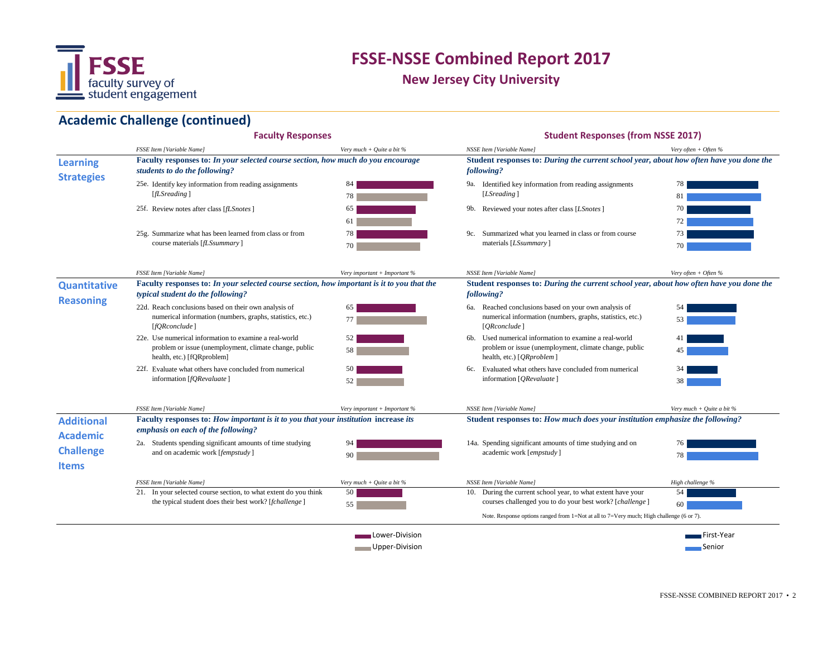

**New Jersey City University**

# **Academic Challenge (continued)**

|                                                     | <b>Faculty Responses</b>                                                                                                                       |                              | <b>Student Responses (from NSSE 2017)</b>                                                                                                                                                                            |                             |
|-----------------------------------------------------|------------------------------------------------------------------------------------------------------------------------------------------------|------------------------------|----------------------------------------------------------------------------------------------------------------------------------------------------------------------------------------------------------------------|-----------------------------|
|                                                     | FSSE Item [Variable Name]                                                                                                                      | Very much + Quite a bit $%$  | NSSE Item [Variable Name]                                                                                                                                                                                            | Very often + Often $%$      |
| <b>Learning</b><br><b>Strategies</b>                | Faculty responses to: In your selected course section, how much do you encourage<br>students to do the following?                              |                              | Student responses to: During the current school year, about how often have you done the<br>following?                                                                                                                |                             |
|                                                     | 25e. Identify key information from reading assignments<br>[fLSreading]                                                                         | 84<br>78                     | 9a. Identified key information from reading assignments<br>[LSreading]                                                                                                                                               | 78<br>81                    |
|                                                     | 25f. Review notes after class [ <i>fLSnotes</i> ]                                                                                              | 65<br>61                     | 9b. Reviewed your notes after class [LSnotes]                                                                                                                                                                        | 70<br>72 <sub>1</sub>       |
|                                                     | 25g. Summarize what has been learned from class or from<br>course materials [fLSsummary]                                                       | 78<br>70                     | 9c. Summarized what you learned in class or from course<br>materials [ <i>LSsummary</i> ]                                                                                                                            | 73<br>70                    |
|                                                     | <b>FSSE Item [Variable Name]</b>                                                                                                               | Very important + Important % | NSSE Item [Variable Name]                                                                                                                                                                                            | Very often + Often %        |
| <b>Quantitative</b>                                 | Faculty responses to: In your selected course section, how important is it to you that the<br>typical student do the following?                |                              | Student responses to: During the current school year, about how often have you done the<br>following?                                                                                                                |                             |
| <b>Reasoning</b>                                    | 22d. Reach conclusions based on their own analysis of<br>numerical information (numbers, graphs, statistics, etc.)<br>[ <i>fQRconclude</i> ]   |                              | 6a. Reached conclusions based on your own analysis of<br>numerical information (numbers, graphs, statistics, etc.)<br>[ORconclude]                                                                                   |                             |
|                                                     | 22e. Use numerical information to examine a real-world<br>problem or issue (unemployment, climate change, public<br>health, etc.) [fQRproblem] | 52                           | 6b. Used numerical information to examine a real-world<br>problem or issue (unemployment, climate change, public<br>health, etc.) [ <i>QRproblem</i> ]                                                               | 45                          |
|                                                     | 22f. Evaluate what others have concluded from numerical<br>information [fQRevaluate]                                                           | 50<br>52                     | Evaluated what others have concluded from numerical<br>6с.<br>information [QRevaluate]                                                                                                                               | 38                          |
|                                                     | <b>FSSE Item [Variable Name]</b>                                                                                                               | Very important + Important % | NSSE Item [Variable Name]                                                                                                                                                                                            | Very much + Ouite a bit $%$ |
| <b>Additional</b>                                   | Faculty responses to: How important is it to you that your institution increase its<br>emphasis on each of the following?                      |                              | Student responses to: How much does your institution emphasize the following?                                                                                                                                        |                             |
| <b>Academic</b><br><b>Challenge</b><br><b>Items</b> | 2a. Students spending significant amounts of time studying<br>and on academic work [fempstudy]                                                 | 94<br>90                     | 14a. Spending significant amounts of time studying and on<br>academic work [empstudy]                                                                                                                                | 76<br>78                    |
|                                                     | <b>FSSE Item [Variable Name]</b>                                                                                                               | Very much + Quite a bit %    | NSSE Item [Variable Name]                                                                                                                                                                                            | High challenge %            |
|                                                     | 21. In your selected course section, to what extent do you think<br>the typical student does their best work? [fchallenge]                     | 50<br>55                     | 10. During the current school year, to what extent have your<br>courses challenged you to do your best work? [challenge]<br>Note. Response options ranged from 1=Not at all to 7=Very much; High challenge (6 or 7). | 54<br>60                    |
|                                                     |                                                                                                                                                |                              |                                                                                                                                                                                                                      |                             |
|                                                     |                                                                                                                                                | Lower-Division               |                                                                                                                                                                                                                      | First-Year                  |
|                                                     |                                                                                                                                                | Upper-Division               |                                                                                                                                                                                                                      | ∎Senior                     |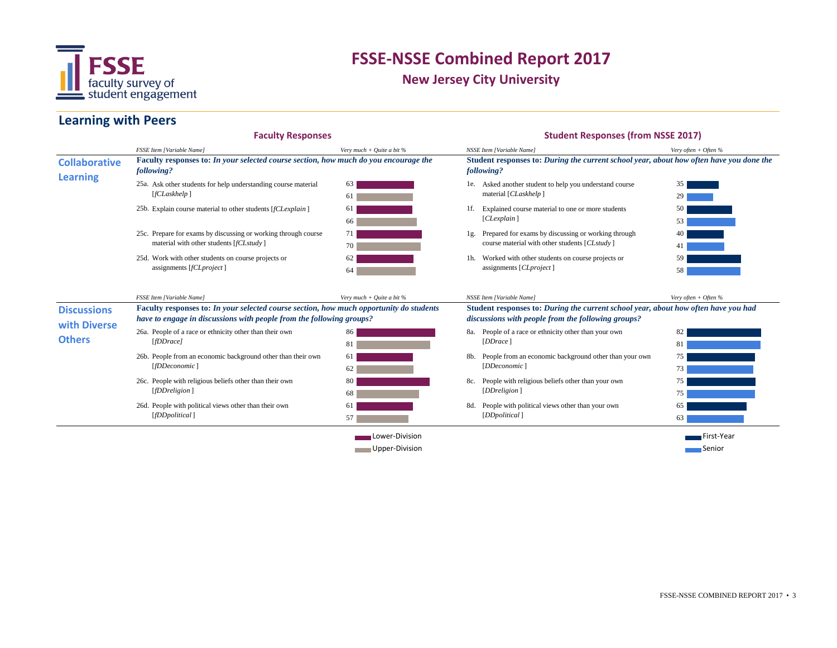

**New Jersey City University**

#### **Learning with Peers**

#### 25a. Ask other students for help understanding course material 63 and 1.1 and 1.1 and 1.1 and 1.1 and 1.1 and 1.1 and 1.1 and 1.1 and 1.1 and 1.1 and 1.1 and 1.1 and 1.1 and 1.1 and 1.1 and 1.1 and 1.1 and 1.1 and 1.1 and 25b. 1f. Explain course material to other students [*fCLexplain* ] 25c. Prepare for exams by discussing or working through course  $\begin{array}{ccc} 71 & \text{ } \\ 71 & \text{ } \end{array}$  1g. 25d. Work with other students on course projects or  $62$  and  $1$ h. 26a. People of a race or ethnicity other than their own a set of the set of the set of the set of the set of the set of the set of the set of the set of the set of the set of the set of the set of the set of the set of the 26b. People from an economic background other than their own 61 26c. People with religious beliefs other than their own 80 80 80. All the state of the state of the state of the state of the state of the state of the state of the state of the state of the state of the state of the state 26d. People with political views other than their own 61 and 80. We have than the state of the state of the state of the state of the state of the state of the state of the state of the state of the state of the state of t First-Year Upper-Division Senior *Very much + Quite a bit %* 35 29 50 53 40 41 59 58 82 81 75 73 75 75 65 **Collaborative Learning Faculty responses to:** *In your selected course section, how much opportunity do students have to engage in discussions with people from the following groups?* **Discussions with Diverse Others Student responses to:** *During the current school year, about how often have you done the following?* **Student responses to:** *During the current school year, about how often have you had discussions with people from the following groups? Very often + Often %* 1g. Prepared for exams by discussing or working through course material with other students [*CLstudy* ] Worked with other students on course projects or assignments [*CLproject* ] People of a race or ethnicity other than your own [*DDrace* ] People from an economic background other than your own [*DDeconomic* ] People with religious beliefs other than your own [*DDreligion* ] People with political views other than your own [*DDpolitical* ] 61 61 66 71 70 62 *NSSE Item [Variable Name] Very often + Often %* Asked another student to help you understand course material [*CLaskhelp* ] Explained course material to one or more students [*CLexplain* ] **Faculty Responses Student Responses (from NSSE 2017)** 63 64 [*fCLaskhelp* ] material with other students [*fCLstudy* ] assignments [*fCLproject* ] **Faculty responses to:** *In your selected course section, how much do you encourage the following? FSSE Item [Variable Name] Very much + Quite a bit % FSSE Item [Variable Name] NSSE Item [Variable Name]* [*fDDrace]* [*fDDeconomic* ] [*fDDreligion* ] 86 81 61 63  $62$ 80 68 61 57 [*fDDpolitical* ] **Lower-Division**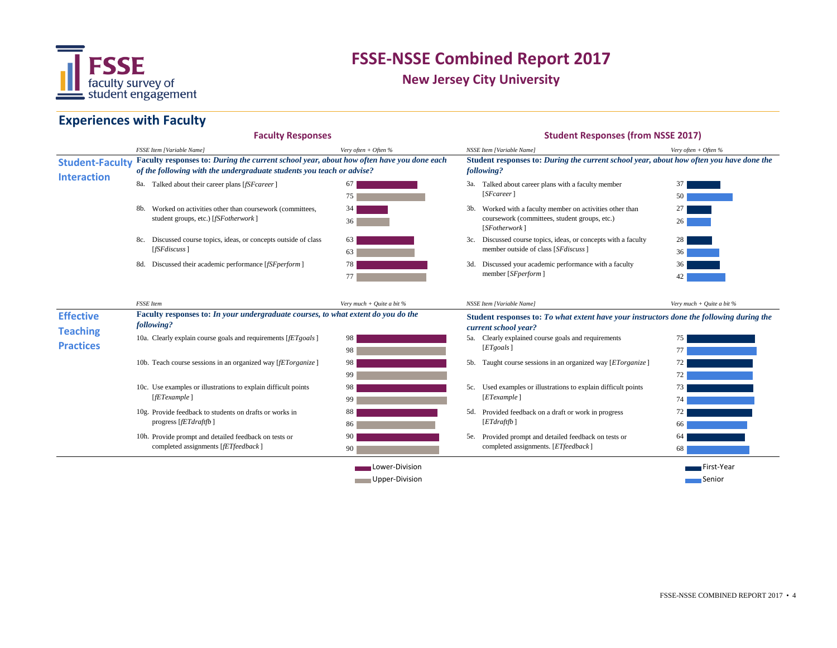

**New Jersey City University**

### **Experiences with Faculty**

|                                              | <b>Faculty Responses</b>                                                                                                                                          |                             | <b>Student Responses (from NSSE 2017)</b>                                                                               |                             |
|----------------------------------------------|-------------------------------------------------------------------------------------------------------------------------------------------------------------------|-----------------------------|-------------------------------------------------------------------------------------------------------------------------|-----------------------------|
|                                              | <b>FSSE Item [Variable Name]</b>                                                                                                                                  | Very often + Often $%$      | NSSE Item [Variable Name]                                                                                               | Very often + Often $%$      |
| <b>Student-Faculty</b><br><b>Interaction</b> | Faculty responses to: During the current school year, about how often have you done each<br>of the following with the undergraduate students you teach or advise? |                             | Student responses to: During the current school year, about how often you have done the<br>following?                   |                             |
|                                              | 8a. Talked about their career plans [fSFcareer]                                                                                                                   | 67                          | 3a. Talked about career plans with a faculty member                                                                     |                             |
|                                              |                                                                                                                                                                   | 75                          |                                                                                                                         | 50                          |
|                                              | Worked on activities other than coursework (committees,                                                                                                           | 34                          | Worked with a faculty member on activities other than<br>coursework (committees, student groups, etc.)<br>[SFotherwork] |                             |
|                                              | student groups, etc.) [fSFotherwork]                                                                                                                              | 36                          |                                                                                                                         | 26                          |
|                                              | 8c. Discussed course topics, ideas, or concepts outside of class                                                                                                  | 63                          | 3c. Discussed course topics, ideas, or concepts with a faculty                                                          | 28                          |
|                                              | [ <i>f</i> ST <sub>d</sub> iscuss]                                                                                                                                | 63                          | member outside of class [SF discuss]                                                                                    | 36                          |
|                                              | 8d. Discussed their academic performance [fSFperform]                                                                                                             | 78                          | 3d. Discussed your academic performance with a faculty                                                                  |                             |
|                                              |                                                                                                                                                                   | 77                          | member [SFperform]                                                                                                      |                             |
|                                              | <b>FSSE</b> Item                                                                                                                                                  | Very much + Ouite a bit $%$ | <b>NSSE Item [Variable Name]</b>                                                                                        | Very much + Quite a bit $%$ |
| <b>Effective</b><br><b>Teaching</b>          | Faculty responses to: In your undergraduate courses, to what extent do you do the<br>following?                                                                   |                             | Student responses to: To what extent have your instructors done the following during the<br>current school year?        |                             |
|                                              | 10a. Clearly explain course goals and requirements [fET goals]                                                                                                    | 98                          | 5a. Clearly explained course goals and requirements                                                                     | 75                          |
| <b>Practices</b>                             |                                                                                                                                                                   | 98                          | [ETgoals]                                                                                                               | 77                          |
|                                              | 10b. Teach course sessions in an organized way [fETorganize]                                                                                                      | 98                          | 5b. Taught course sessions in an organized way [ETorganize]                                                             |                             |
|                                              |                                                                                                                                                                   | 99                          |                                                                                                                         | 72                          |
|                                              | 10c. Use examples or illustrations to explain difficult points                                                                                                    | 98                          | 5c. Used examples or illustrations to explain difficult points                                                          | 73                          |
|                                              | [fET example]                                                                                                                                                     | 99                          | [ET example]                                                                                                            | 74                          |
|                                              | 10g. Provide feedback to students on drafts or works in<br>progress [fETdraftfb]                                                                                  | 88                          | 5d. Provided feedback on a draft or work in progress<br>[ETdraffb]                                                      | 72                          |
|                                              |                                                                                                                                                                   | 86                          |                                                                                                                         | 66                          |
|                                              | 10h. Provide prompt and detailed feedback on tests or                                                                                                             | 90                          | 5e. Provided prompt and detailed feedback on tests or<br>completed assignments. [ETfeedback]                            | 64                          |
|                                              | completed assignments [fETfeedback]                                                                                                                               | 90                          |                                                                                                                         | 68                          |
|                                              |                                                                                                                                                                   | Lower-Division              |                                                                                                                         | First-Year                  |
|                                              | Upper-Division                                                                                                                                                    |                             |                                                                                                                         | ─ Senior                    |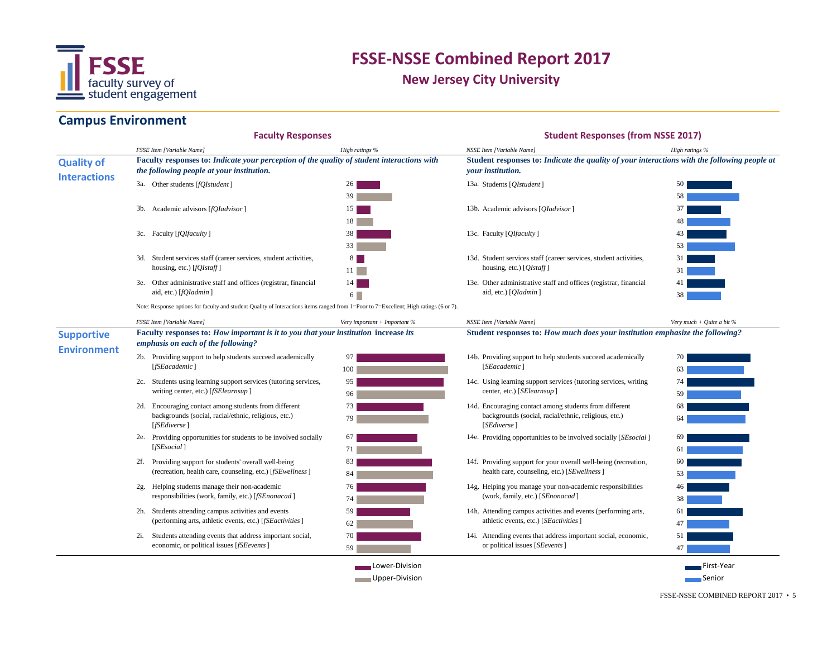

**New Jersey City University**

### **Campus Environment**

|                                          | <b>Faculty Responses</b>                                                                                                                                                                                   |                                                                                                                                        | <b>Student Responses (from NSSE 2017)</b>                                                                                |                                                                                                                                                                |  |  |  |
|------------------------------------------|------------------------------------------------------------------------------------------------------------------------------------------------------------------------------------------------------------|----------------------------------------------------------------------------------------------------------------------------------------|--------------------------------------------------------------------------------------------------------------------------|----------------------------------------------------------------------------------------------------------------------------------------------------------------|--|--|--|
|                                          | <b>FSSE Item [Variable Name]</b>                                                                                                                                                                           | High ratings %                                                                                                                         | NSSE Item [Variable Name]                                                                                                | High ratings %                                                                                                                                                 |  |  |  |
| <b>Quality of</b><br><b>Interactions</b> | Faculty responses to: Indicate your perception of the quality of student interactions with<br>the following people at your institution.                                                                    |                                                                                                                                        | Student responses to: Indicate the quality of your interactions with the following people at<br><i>vour institution.</i> |                                                                                                                                                                |  |  |  |
|                                          | 3a. Other students [fQIstudent]                                                                                                                                                                            | 26                                                                                                                                     | 13a. Students [ <i>QIstudent</i> ]                                                                                       | 50 <sub>1</sub>                                                                                                                                                |  |  |  |
|                                          |                                                                                                                                                                                                            | 39                                                                                                                                     |                                                                                                                          | 58                                                                                                                                                             |  |  |  |
|                                          | 3b. Academic advisors [fQIadvisor]                                                                                                                                                                         | 15 <sup>1</sup>                                                                                                                        | 13b. Academic advisors [ <i>QIadvisor</i> ]                                                                              | 37                                                                                                                                                             |  |  |  |
|                                          |                                                                                                                                                                                                            | 18 <sup>1</sup>                                                                                                                        |                                                                                                                          | 48                                                                                                                                                             |  |  |  |
|                                          | 3c. Faculty [fQIfaculty]                                                                                                                                                                                   | 38                                                                                                                                     | 13c. Faculty [ <i>QIfaculty</i> ]                                                                                        | 43                                                                                                                                                             |  |  |  |
|                                          |                                                                                                                                                                                                            | 33 <sup>1</sup>                                                                                                                        |                                                                                                                          | 53                                                                                                                                                             |  |  |  |
|                                          | 3d. Student services staff (career services, student activities,                                                                                                                                           | 8 <sup>1</sup>                                                                                                                         | 13d. Student services staff (career services, student activities,                                                        | 31                                                                                                                                                             |  |  |  |
|                                          | housing, etc.) [fQIstaff]                                                                                                                                                                                  | 11                                                                                                                                     | housing, etc.) $[QIstaff]$                                                                                               | 31                                                                                                                                                             |  |  |  |
|                                          | 3e. Other administrative staff and offices (registrar, financial                                                                                                                                           | 14 l                                                                                                                                   | 13e. Other administrative staff and offices (registrar, financial<br>aid, etc.) [ <i>QIadmin</i> ]                       |                                                                                                                                                                |  |  |  |
|                                          | aid, etc.) [fQIadmin]                                                                                                                                                                                      | $6 \Box$                                                                                                                               |                                                                                                                          | 38                                                                                                                                                             |  |  |  |
|                                          |                                                                                                                                                                                                            | Note: Response options for faculty and student Quality of Interactions items ranged from 1=Poor to 7=Excellent; High ratings (6 or 7). |                                                                                                                          |                                                                                                                                                                |  |  |  |
|                                          | <b>FSSE Item [Variable Name]</b>                                                                                                                                                                           | Very important + Important %                                                                                                           | NSSE Item [Variable Name]                                                                                                | Very much + Quite a bit $%$                                                                                                                                    |  |  |  |
| <b>Supportive</b><br><b>Environment</b>  | Student responses to: How much does your institution emphasize the following?<br>Faculty responses to: How important is it to you that your institution increase its<br>emphasis on each of the following? |                                                                                                                                        |                                                                                                                          |                                                                                                                                                                |  |  |  |
|                                          | 2b. Providing support to help students succeed academically<br>[fSEacademic]                                                                                                                               |                                                                                                                                        | 14b. Providing support to help students succeed academically<br>[SEacademic]                                             | 70 I                                                                                                                                                           |  |  |  |
|                                          |                                                                                                                                                                                                            | 100                                                                                                                                    |                                                                                                                          | 63                                                                                                                                                             |  |  |  |
|                                          | 2c. Students using learning support services (tutoring services,<br>writing center, etc.) [fSElearnsup]                                                                                                    | 95                                                                                                                                     | 14c. Using learning support services (tutoring services, writing<br>center, etc.) [SElearnsup]                           | 74  <br>$\mathcal{L}(\mathcal{L})$ and $\mathcal{L}(\mathcal{L})$ and $\mathcal{L}(\mathcal{L})$ and $\mathcal{L}(\mathcal{L})$ and $\mathcal{L}(\mathcal{L})$ |  |  |  |
|                                          |                                                                                                                                                                                                            | 96 <sup>1</sup>                                                                                                                        |                                                                                                                          |                                                                                                                                                                |  |  |  |
|                                          | 2d. Encouraging contact among students from different<br>backgrounds (social, racial/ethnic, religious, etc.)<br>[fSEdiverse]                                                                              | 73                                                                                                                                     | 14d. Encouraging contact among students from different                                                                   |                                                                                                                                                                |  |  |  |
|                                          |                                                                                                                                                                                                            | 79                                                                                                                                     | backgrounds (social, racial/ethnic, religious, etc.)<br>[ <i>SEdiverse</i> ]                                             |                                                                                                                                                                |  |  |  |
|                                          | 2e. Providing opportunities for students to be involved socially<br>[fSEsocial]                                                                                                                            | 67                                                                                                                                     | 14e. Providing opportunities to be involved socially [SEsocial]                                                          |                                                                                                                                                                |  |  |  |
|                                          |                                                                                                                                                                                                            | 71                                                                                                                                     |                                                                                                                          | 61                                                                                                                                                             |  |  |  |
|                                          |                                                                                                                                                                                                            |                                                                                                                                        | 14f. Providing support for your overall well-being (recreation,                                                          | 60 l                                                                                                                                                           |  |  |  |
|                                          | 2f. Providing support for students' overall well-being                                                                                                                                                     | 83                                                                                                                                     |                                                                                                                          |                                                                                                                                                                |  |  |  |
|                                          | (recreation, health care, counseling, etc.) [fSEwellness]                                                                                                                                                  | 84                                                                                                                                     | health care, counseling, etc.) [SEwellness]                                                                              | 53 <sup>1</sup>                                                                                                                                                |  |  |  |
|                                          | 2g. Helping students manage their non-academic                                                                                                                                                             | 76                                                                                                                                     | 14g. Helping you manage your non-academic responsibilities                                                               | 46                                                                                                                                                             |  |  |  |
|                                          | responsibilities (work, family, etc.) [fSEnonacad]                                                                                                                                                         | 74                                                                                                                                     | (work, family, etc.) [SEnonacad]                                                                                         | 38                                                                                                                                                             |  |  |  |
|                                          | 2h. Students attending campus activities and events                                                                                                                                                        | 59                                                                                                                                     | 14h. Attending campus activities and events (performing arts,                                                            | 61                                                                                                                                                             |  |  |  |
|                                          | (performing arts, athletic events, etc.) [fSEactivities]                                                                                                                                                   | 62                                                                                                                                     | athletic events, etc.) [SEactivities]                                                                                    | 47                                                                                                                                                             |  |  |  |
|                                          | 2i. Students attending events that address important social,<br>economic, or political issues [fSEevents]                                                                                                  | 70<br>59                                                                                                                               | 14i. Attending events that address important social, economic,<br>or political issues [ <i>SEevents</i> ]                | 51<br>47                                                                                                                                                       |  |  |  |

FSSE-NSSE COMBINED REPORT 2017 • 5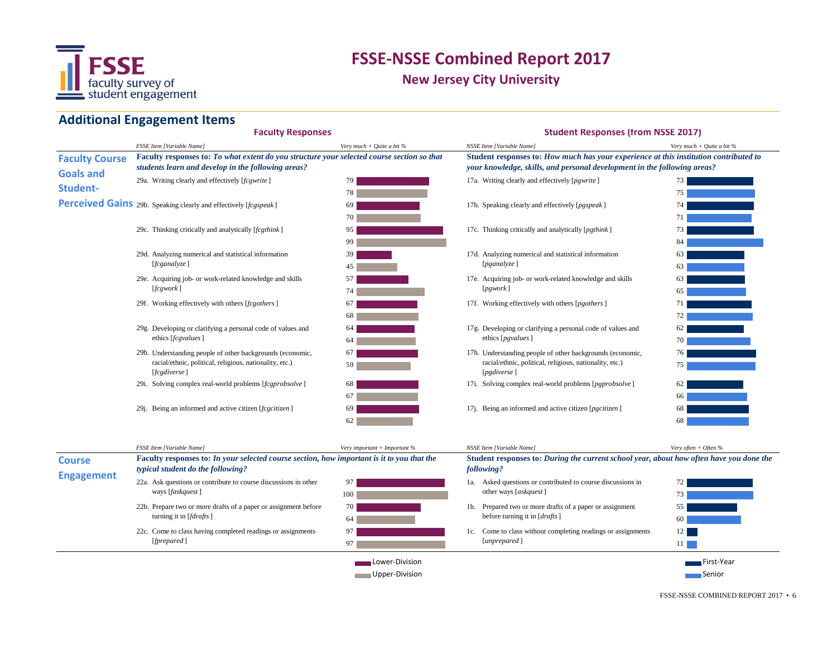

**New Jersey City University**

#### **Additional Engagement Items**

#### 29a. 17a. Writing clearly and effectively [*fcgwrite* ] **Perceived Gains** 29b. Speaking clearly and effectively [*fcgspeak* ] 69 **17b.** (17b. 29c. Thinking critically and analytically [*fcgthink* ] 5 and 25 and 25 and 27 and 27 c. 29d. 17d. Analyzing numerical and statistical information 29e. Acquiring job- or work-related knowledge and skills 57 57 29f. 17f. Working effectively with others [*fcgothers*] 29g. Developing or clarifying a personal code of values and  $\qquad \qquad 64$  errors and  $\qquad \qquad 17$ g. 29h. 17h. Understanding people of other backgrounds (economic, 29i. Solving complex real-world problems [*fcgprobsolve* ] 68 **17i.** (17i. 29j. 17j. Being an informed and active citizen [*fcgcitizen* ] 75 62 66 68 68 17h. Understanding people of other backgrounds (economic, racial/ethnic, political, religious, nationality, etc.) [*pgdiverse* ] 17i. Solving complex real-world problems [*pgprobsolve*] 63 63 65 71 72 62 70 63 racial/ethnic, political, religious, nationality, etc.) [*fcgdiverse* ] **Faculty Course Goals and Student-**17a. Writing clearly and effectively [*pgwrite*] 17b. Speaking clearly and effectively [*pgspeak*] 17c. Thinking critically and analytically [*pgthink*] Being an informed and active citizen [*pgcitizen* ] 76 Analyzing numerical and statistical information [*pganalyze* ] 17e. Acquiring job- or work-related knowledge and skills [*pgwork* ] [*fcganalyze* ] [*fcgwork* ] ethics [*fcgvalues*] 17f. Working effectively with others [pgothers] 17g. Developing or clarifying a personal code of values and ethics [*pgvalues*] *FSSE Item [Variable Name]* 99 84 84 85 86 86 86 86 86 86 86 86 87 88 86 87 88 87 88 87 88 87 88 88 88 88 88 8 *NSSE Item [Variable Name] Very much + Quite a bit %* **Faculty Responses Student Responses (from NSSE 2017)** 39 45 57 74 67 68 64 64 67 59 68 67 69 62 79 78 69 70 95 *Very much + Quite a bit %* **Faculty responses to:** *To what extent do you structure your selected course section so that students learn and develop in the following areas?* **Student responses to:** *How much has your experience at this institution contributed to your knowledge, skills, and personal development in the following areas?* 73 75 74 71 73

|                   | <b>FSSE Item [Variable Name]</b>                                                                                                       | Very important + Important $%$   | NSSE Item [Variable Name]                                                                             | Very often + Often $%$             |
|-------------------|----------------------------------------------------------------------------------------------------------------------------------------|----------------------------------|-------------------------------------------------------------------------------------------------------|------------------------------------|
| <b>Course</b>     | <b>Faculty responses to: In your selected course section, how important is it to you that the</b><br>typical student do the following? |                                  | Student responses to: During the current school year, about how often have you done the<br>following? |                                    |
| <b>Engagement</b> | 22a. Ask questions or contribute to course discussions in other<br>ways [faskquest]                                                    | 97<br>100                        | Asked questions or contributed to course discussions in<br>la.<br>other ways [askquest]               | 72<br>73                           |
|                   | 22b. Prepare two or more drafts of a paper or assignment before<br>turning it in [ <i>fdrafts</i> ]                                    | 70 l<br>64                       | 1b. Prepared two or more drafts of a paper or assignment<br>before turning it in [drafts]             | 55<br><sup>60</sup>                |
|                   | 22c. Come to class having completed readings or assignments<br>[ <i>repared</i> ]                                                      | 97<br>97                         | Come to class without completing readings or assignments<br>Ic.<br>[unprepared]                       | 12 <sub>1</sub><br>11 <sub>1</sub> |
|                   |                                                                                                                                        | Lower-Division<br>Upper-Division |                                                                                                       | — First-Year<br>∎Senior            |

FSSE-NSSE COMBINED REPORT 2017 • 6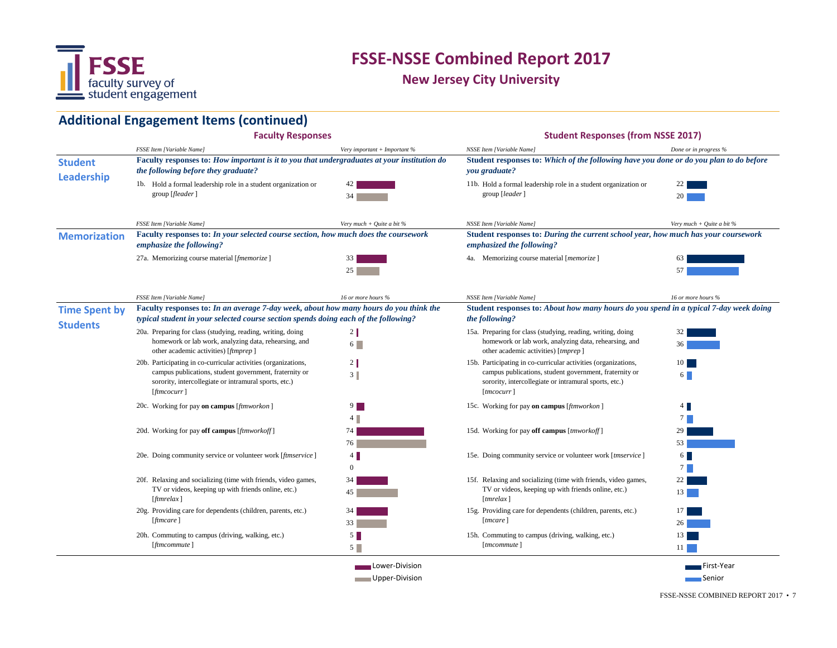

**New Jersey City University**

# **Additional Engagement Items (continued)**

|                                         | <b>Faculty Responses</b>                                                                                                                                                                                      |                                     | <b>Student Responses (from NSSE 2017)</b>                                                                                                                                                       |                             |
|-----------------------------------------|---------------------------------------------------------------------------------------------------------------------------------------------------------------------------------------------------------------|-------------------------------------|-------------------------------------------------------------------------------------------------------------------------------------------------------------------------------------------------|-----------------------------|
|                                         | FSSE Item [Variable Name]                                                                                                                                                                                     | Very important + Important %        | NSSE Item [Variable Name]                                                                                                                                                                       | Done or in progress %       |
| <b>Student</b><br><b>Leadership</b>     | Faculty responses to: How important is it to you that undergraduates at your institution do<br>the following before they graduate?                                                                            |                                     | Student responses to: Which of the following have you done or do you plan to do before<br>you graduate?                                                                                         |                             |
|                                         | 1b. Hold a formal leadership role in a student organization or<br>group [ <i>fleader</i> ]                                                                                                                    | 34                                  | 11b. Hold a formal leadership role in a student organization or<br>group [leader]                                                                                                               | 20                          |
|                                         | <b>FSSE Item [Variable Name]</b>                                                                                                                                                                              | Very much + Quite a bit $%$         | NSSE Item [Variable Name]                                                                                                                                                                       | Very much + Quite a bit $%$ |
| <b>Memorization</b>                     | Faculty responses to: In your selected course section, how much does the coursework<br>emphasize the following?                                                                                               |                                     | Student responses to: During the current school year, how much has your coursework<br>emphasized the following?                                                                                 |                             |
|                                         | 27a. Memorizing course material [fmemorize]                                                                                                                                                                   | 33<br>25 <sub>1</sub>               | 4a. Memorizing course material [ <i>memorize</i> ]                                                                                                                                              | 57                          |
|                                         | <b>FSSE Item [Variable Name]</b>                                                                                                                                                                              | 16 or more hours %                  | NSSE Item [Variable Name]                                                                                                                                                                       | 16 or more hours %          |
| <b>Time Spent by</b><br><b>Students</b> | Faculty responses to: In an average 7-day week, about how many hours do you think the<br>typical student in your selected course section spends doing each of the following?                                  |                                     | Student responses to: About how many hours do you spend in a typical 7-day week doing<br>the following?                                                                                         |                             |
|                                         | 20a. Preparing for class (studying, reading, writing, doing<br>homework or lab work, analyzing data, rehearsing, and<br>other academic activities) [ftmprep]                                                  | $2 \parallel$<br>$6\Box$            | 15a. Preparing for class (studying, reading, writing, doing<br>homework or lab work, analyzing data, rehearsing, and<br>other academic activities) [tmprep]                                     | 36                          |
|                                         | 20b. Participating in co-curricular activities (organizations,<br>campus publications, student government, fraternity or<br>sorority, intercollegiate or intramural sports, etc.)<br>$[$ <i>ftmcocurr</i> $]$ | $\mathbf{2}$<br>3                   | 15b. Participating in co-curricular activities (organizations,<br>campus publications, student government, fraternity or<br>sorority, intercollegiate or intramural sports, etc.)<br>[tmcocurr] | 10 <sup>1</sup><br>6        |
|                                         | 20c. Working for pay on campus [ftmworkon]                                                                                                                                                                    | $9 \Box$<br>4                       | 15c. Working for pay on campus [ftmworkon]                                                                                                                                                      | $4 \mid$<br>$7^{\circ}$     |
|                                         | 20d. Working for pay off campus [ftmworkoff]                                                                                                                                                                  | 74<br>76                            | 15d. Working for pay off campus [tmworkoff]                                                                                                                                                     | 29.<br>53                   |
|                                         | 20e. Doing community service or volunteer work [ftmservice]                                                                                                                                                   | $4 \blacksquare$<br>$\theta$        | 15e. Doing community service or volunteer work [tmservice]                                                                                                                                      | $6 \mid$<br>$7^{\circ}$     |
|                                         | 20f. Relaxing and socializing (time with friends, video games,<br>TV or videos, keeping up with friends online, etc.)<br>[ <i>ff</i> mrelax]                                                                  | 34<br>45                            | 15f. Relaxing and socializing (time with friends, video games,<br>TV or videos, keeping up with friends online, etc.)<br>[tmrelax]                                                              | 22<br>13 <sup>1</sup>       |
|                                         | 20g. Providing care for dependents (children, parents, etc.)<br>$[$ <i>ftmcare</i> $]$                                                                                                                        | 34<br>33                            | 15g. Providing care for dependents (children, parents, etc.)<br>[tmcare]                                                                                                                        | 17                          |
|                                         | 20h. Commuting to campus (driving, walking, etc.)<br>[ftmcommute]                                                                                                                                             | $5 \blacksquare$<br>$5\blacksquare$ | 15h. Commuting to campus (driving, walking, etc.)<br>[tmcommute]                                                                                                                                | 13<br>11 <sup>1</sup>       |
|                                         |                                                                                                                                                                                                               | Lower-Division<br>Upper-Division    |                                                                                                                                                                                                 | First-Year<br>∎Senior       |

FSSE-NSSE COMBINED REPORT 2017 • 7